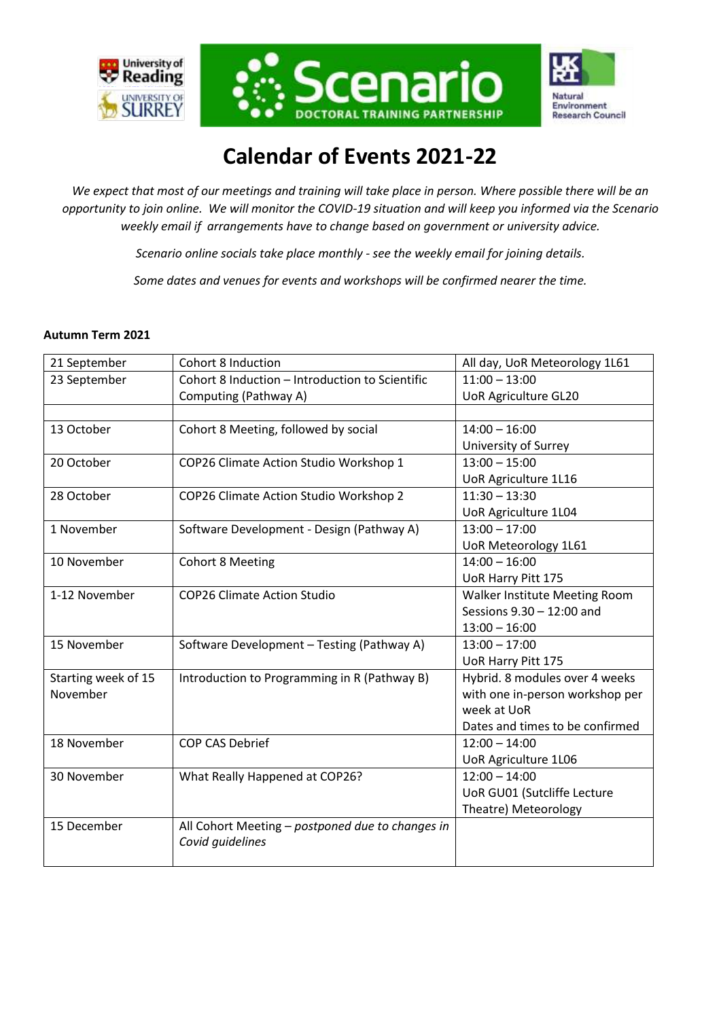





# **Calendar of Events 2021-22**

*We expect that most of our meetings and training will take place in person. Where possible there will be an opportunity to join online. We will monitor the COVID-19 situation and will keep you informed via the Scenario weekly email if arrangements have to change based on government or university advice.* 

*Scenario online socials take place monthly - see the weekly email for joining details.*

*Some dates and venues for events and workshops will be confirmed nearer the time.*

#### **Autumn Term 2021**

| 21 September        | <b>Cohort 8 Induction</b>                        | All day, UoR Meteorology 1L61   |
|---------------------|--------------------------------------------------|---------------------------------|
| 23 September        | Cohort 8 Induction - Introduction to Scientific  | $11:00 - 13:00$                 |
|                     | Computing (Pathway A)                            | <b>UoR Agriculture GL20</b>     |
|                     |                                                  |                                 |
| 13 October          | Cohort 8 Meeting, followed by social             | $14:00 - 16:00$                 |
|                     |                                                  | University of Surrey            |
| 20 October          | COP26 Climate Action Studio Workshop 1           | $13:00 - 15:00$                 |
|                     |                                                  | <b>UoR Agriculture 1L16</b>     |
| 28 October          | COP26 Climate Action Studio Workshop 2           | $11:30 - 13:30$                 |
|                     |                                                  | UoR Agriculture 1L04            |
| 1 November          | Software Development - Design (Pathway A)        | $13:00 - 17:00$                 |
|                     |                                                  | UoR Meteorology 1L61            |
| 10 November         | <b>Cohort 8 Meeting</b>                          | $14:00 - 16:00$                 |
|                     |                                                  | UoR Harry Pitt 175              |
| 1-12 November       | <b>COP26 Climate Action Studio</b>               | Walker Institute Meeting Room   |
|                     |                                                  | Sessions 9.30 - 12:00 and       |
|                     |                                                  | $13:00 - 16:00$                 |
| 15 November         | Software Development - Testing (Pathway A)       | $13:00 - 17:00$                 |
|                     |                                                  | UoR Harry Pitt 175              |
| Starting week of 15 | Introduction to Programming in R (Pathway B)     | Hybrid. 8 modules over 4 weeks  |
| November            |                                                  | with one in-person workshop per |
|                     |                                                  | week at UoR                     |
|                     |                                                  | Dates and times to be confirmed |
| 18 November         | <b>COP CAS Debrief</b>                           | $12:00 - 14:00$                 |
|                     |                                                  | <b>UoR Agriculture 1L06</b>     |
| 30 November         | What Really Happened at COP26?                   | $12:00 - 14:00$                 |
|                     |                                                  | UoR GU01 (Sutcliffe Lecture     |
|                     |                                                  | Theatre) Meteorology            |
| 15 December         | All Cohort Meeting - postponed due to changes in |                                 |
|                     | Covid guidelines                                 |                                 |
|                     |                                                  |                                 |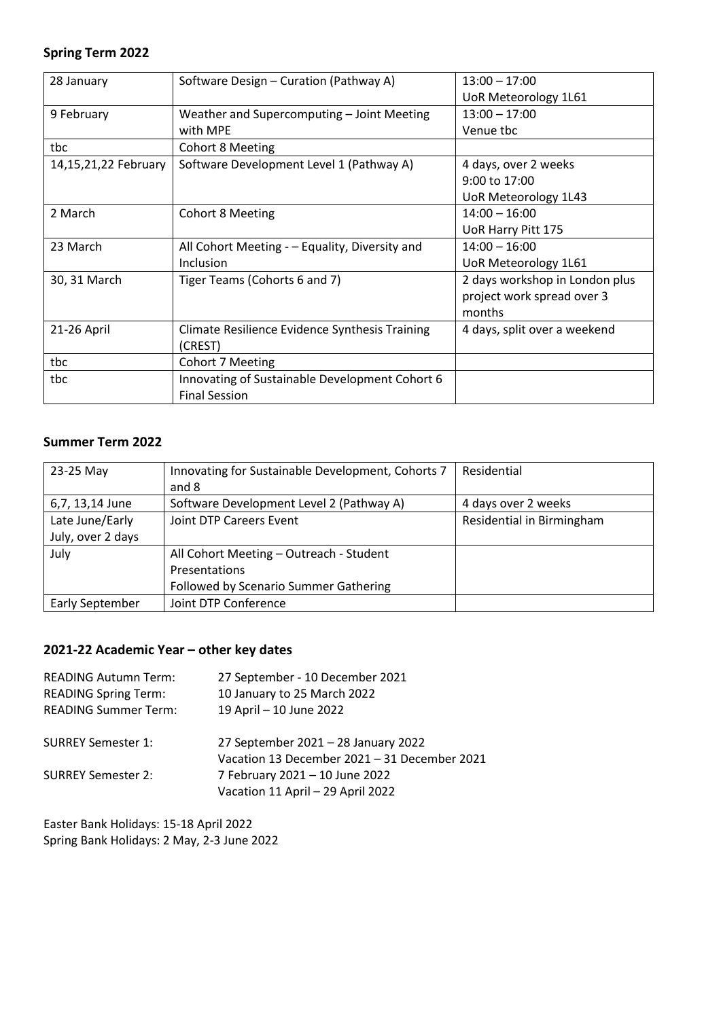## **Spring Term 2022**

| 28 January           | Software Design - Curation (Pathway A)         | $13:00 - 17:00$                |
|----------------------|------------------------------------------------|--------------------------------|
|                      |                                                | UoR Meteorology 1L61           |
| 9 February           | Weather and Supercomputing - Joint Meeting     | $13:00 - 17:00$                |
|                      | with MPE                                       | Venue tbc                      |
| tbc                  | <b>Cohort 8 Meeting</b>                        |                                |
| 14,15,21,22 February | Software Development Level 1 (Pathway A)       | 4 days, over 2 weeks           |
|                      |                                                | 9:00 to 17:00                  |
|                      |                                                | UoR Meteorology 1L43           |
| 2 March              | <b>Cohort 8 Meeting</b>                        | $14:00 - 16:00$                |
|                      |                                                | UoR Harry Pitt 175             |
| 23 March             | All Cohort Meeting - - Equality, Diversity and | $14:00 - 16:00$                |
|                      | Inclusion                                      | UoR Meteorology 1L61           |
| 30, 31 March         | Tiger Teams (Cohorts 6 and 7)                  | 2 days workshop in London plus |
|                      |                                                | project work spread over 3     |
|                      |                                                | months                         |
| 21-26 April          | Climate Resilience Evidence Synthesis Training | 4 days, split over a weekend   |
|                      | (CREST)                                        |                                |
| tbc                  | Cohort 7 Meeting                               |                                |
| tbc                  | Innovating of Sustainable Development Cohort 6 |                                |
|                      | <b>Final Session</b>                           |                                |

#### **Summer Term 2022**

| 23-25 May         | Innovating for Sustainable Development, Cohorts 7<br>and 8 | Residential               |
|-------------------|------------------------------------------------------------|---------------------------|
| 6,7, 13,14 June   | Software Development Level 2 (Pathway A)                   | 4 days over 2 weeks       |
| Late June/Early   | Joint DTP Careers Event                                    | Residential in Birmingham |
| July, over 2 days |                                                            |                           |
| July              | All Cohort Meeting - Outreach - Student                    |                           |
|                   | Presentations                                              |                           |
|                   | Followed by Scenario Summer Gathering                      |                           |
| Early September   | Joint DTP Conference                                       |                           |

### **2021-22 Academic Year – other key dates**

| <b>READING Autumn Term:</b> | 27 September - 10 December 2021                                                     |  |
|-----------------------------|-------------------------------------------------------------------------------------|--|
| <b>READING Spring Term:</b> | 10 January to 25 March 2022                                                         |  |
| <b>READING Summer Term:</b> | 19 April - 10 June 2022                                                             |  |
| <b>SURREY Semester 1:</b>   | 27 September 2021 - 28 January 2022<br>Vacation 13 December 2021 - 31 December 2021 |  |
| <b>SURREY Semester 2:</b>   | 7 February 2021 - 10 June 2022<br>Vacation 11 April - 29 April 2022                 |  |

Easter Bank Holidays: 15-18 April 2022 Spring Bank Holidays: 2 May, 2-3 June 2022